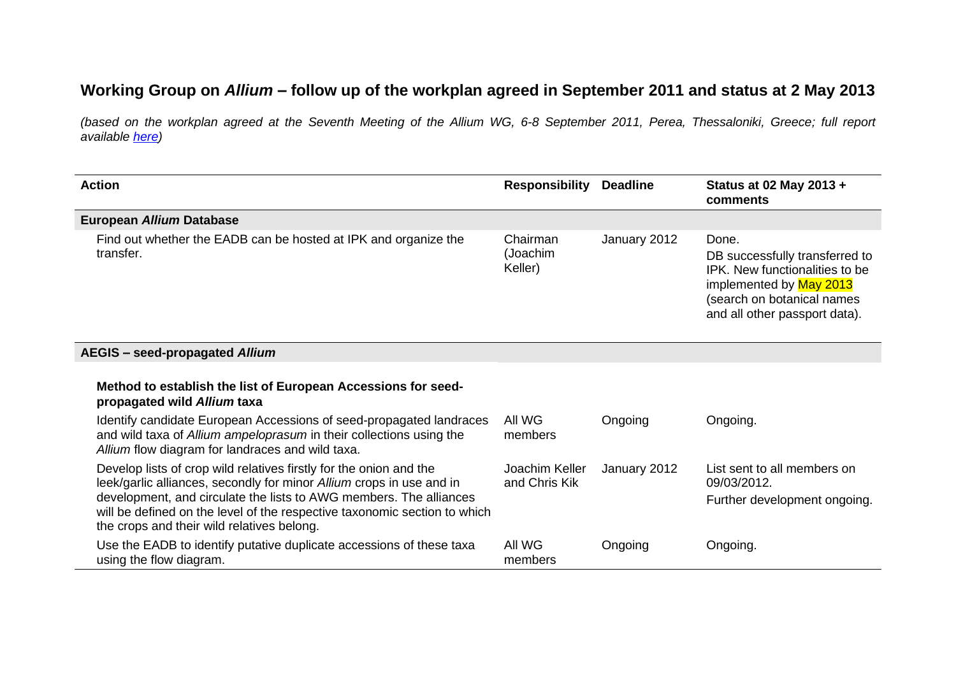## **Working Group on** *Allium* **– follow up of the workplan agreed in September 2011 and status at 2 May 2013**

*(based on the workplan agreed at the Seventh Meeting of the Allium WG, 6-8 September 2011, Perea, Thessaloniki, Greece; full report available [here\)](http://www.ecpgr.cgiar.org/publications/publication/issue/report_of_a_working_group_on_allium.html)*

| <b>Action</b>                                                                                                                                                                                                                                                                                                                               | <b>Responsibility</b>           | <b>Deadline</b> | Status at 02 May 2013 +<br>comments                                                                                                                                 |
|---------------------------------------------------------------------------------------------------------------------------------------------------------------------------------------------------------------------------------------------------------------------------------------------------------------------------------------------|---------------------------------|-----------------|---------------------------------------------------------------------------------------------------------------------------------------------------------------------|
| European Allium Database                                                                                                                                                                                                                                                                                                                    |                                 |                 |                                                                                                                                                                     |
| Find out whether the EADB can be hosted at IPK and organize the<br>transfer.                                                                                                                                                                                                                                                                | Chairman<br>(Joachim<br>Keller) | January 2012    | Done.<br>DB successfully transferred to<br>IPK. New functionalities to be<br>implemented by May 2013<br>(search on botanical names<br>and all other passport data). |
| <b>AEGIS</b> - seed-propagated Allium                                                                                                                                                                                                                                                                                                       |                                 |                 |                                                                                                                                                                     |
| Method to establish the list of European Accessions for seed-<br>propagated wild Allium taxa                                                                                                                                                                                                                                                |                                 |                 |                                                                                                                                                                     |
| Identify candidate European Accessions of seed-propagated landraces<br>and wild taxa of Allium ampeloprasum in their collections using the<br>Allium flow diagram for landraces and wild taxa.                                                                                                                                              | All WG<br>members               | Ongoing         | Ongoing.                                                                                                                                                            |
| Develop lists of crop wild relatives firstly for the onion and the<br>leek/garlic alliances, secondly for minor Allium crops in use and in<br>development, and circulate the lists to AWG members. The alliances<br>will be defined on the level of the respective taxonomic section to which<br>the crops and their wild relatives belong. | Joachim Keller<br>and Chris Kik | January 2012    | List sent to all members on<br>09/03/2012.<br>Further development ongoing.                                                                                          |
| Use the EADB to identify putative duplicate accessions of these taxa<br>using the flow diagram.                                                                                                                                                                                                                                             | All WG<br>members               | Ongoing         | Ongoing.                                                                                                                                                            |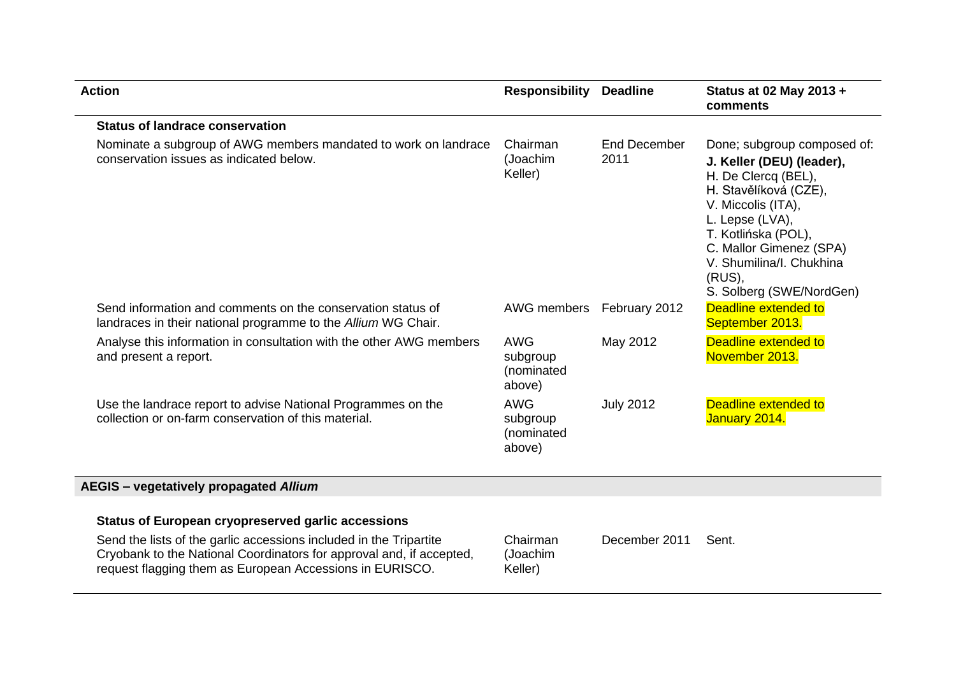| <b>Action</b>                                                                                                                                                                                          | <b>Responsibility</b>                          | <b>Deadline</b>      | Status at 02 May 2013 +<br>comments                                                                                                                                                                                                                                   |
|--------------------------------------------------------------------------------------------------------------------------------------------------------------------------------------------------------|------------------------------------------------|----------------------|-----------------------------------------------------------------------------------------------------------------------------------------------------------------------------------------------------------------------------------------------------------------------|
| <b>Status of landrace conservation</b>                                                                                                                                                                 |                                                |                      |                                                                                                                                                                                                                                                                       |
| Nominate a subgroup of AWG members mandated to work on landrace<br>conservation issues as indicated below.                                                                                             | Chairman<br>(Joachim<br>Keller)                | End December<br>2011 | Done; subgroup composed of:<br>J. Keller (DEU) (leader),<br>H. De Clercq (BEL),<br>H. Stavělíková (CZE),<br>V. Miccolis (ITA),<br>L. Lepse (LVA),<br>T. Kotlińska (POL),<br>C. Mallor Gimenez (SPA)<br>V. Shumilina/I. Chukhina<br>(RUS),<br>S. Solberg (SWE/NordGen) |
| Send information and comments on the conservation status of<br>landraces in their national programme to the Allium WG Chair.                                                                           | AWG members                                    | February 2012        | <b>Deadline extended to</b><br>September 2013.                                                                                                                                                                                                                        |
| Analyse this information in consultation with the other AWG members<br>and present a report.                                                                                                           | <b>AWG</b><br>subgroup<br>(nominated<br>above) | May 2012             | Deadline extended to<br>November 2013.                                                                                                                                                                                                                                |
| Use the landrace report to advise National Programmes on the<br>collection or on-farm conservation of this material.                                                                                   | <b>AWG</b><br>subgroup<br>(nominated<br>above) | <b>July 2012</b>     | Deadline extended to<br>January 2014.                                                                                                                                                                                                                                 |
| AEGIS - vegetatively propagated Allium                                                                                                                                                                 |                                                |                      |                                                                                                                                                                                                                                                                       |
| <b>Status of European cryopreserved garlic accessions</b>                                                                                                                                              |                                                |                      |                                                                                                                                                                                                                                                                       |
| Send the lists of the garlic accessions included in the Tripartite<br>Cryobank to the National Coordinators for approval and, if accepted,<br>request flagging them as European Accessions in EURISCO. | Chairman<br>(Joachim<br>Keller)                | December 2011        | Sent.                                                                                                                                                                                                                                                                 |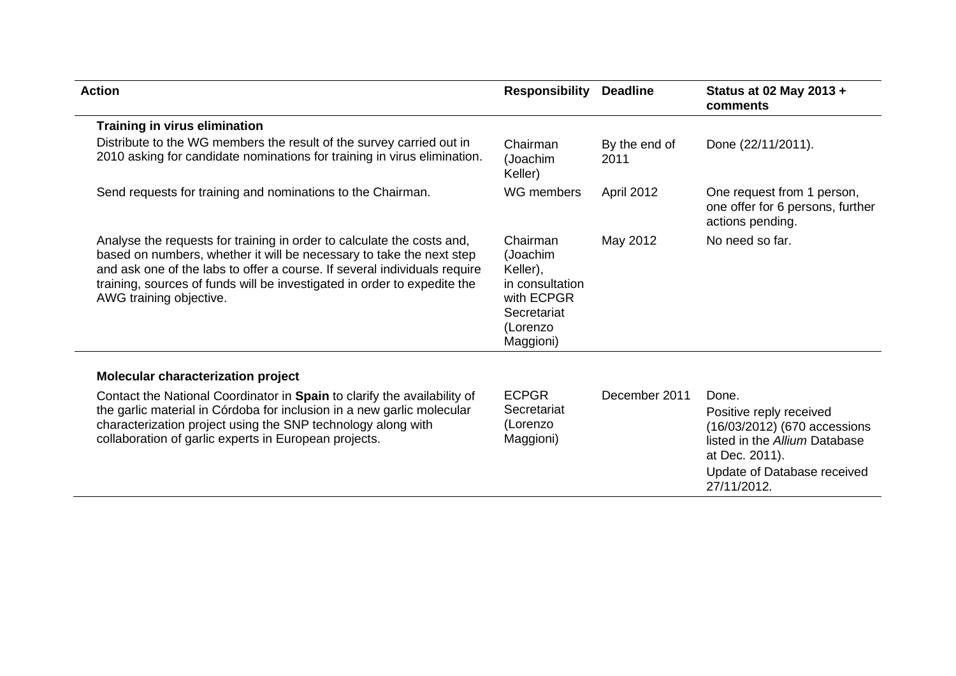| <b>Action</b>                                                                                                                                                                                                                                                                                                                      | <b>Responsibility</b>                                                                                     | <b>Deadline</b>       | Status at 02 May 2013 +<br>comments                                                                        |
|------------------------------------------------------------------------------------------------------------------------------------------------------------------------------------------------------------------------------------------------------------------------------------------------------------------------------------|-----------------------------------------------------------------------------------------------------------|-----------------------|------------------------------------------------------------------------------------------------------------|
| <b>Training in virus elimination</b>                                                                                                                                                                                                                                                                                               |                                                                                                           |                       |                                                                                                            |
| Distribute to the WG members the result of the survey carried out in<br>2010 asking for candidate nominations for training in virus elimination.                                                                                                                                                                                   | Chairman<br>(Joachim<br>Keller)                                                                           | By the end of<br>2011 | Done (22/11/2011).                                                                                         |
| Send requests for training and nominations to the Chairman.                                                                                                                                                                                                                                                                        | WG members                                                                                                | April 2012            | One request from 1 person,<br>one offer for 6 persons, further<br>actions pending.                         |
| Analyse the requests for training in order to calculate the costs and,<br>based on numbers, whether it will be necessary to take the next step<br>and ask one of the labs to offer a course. If several individuals require<br>training, sources of funds will be investigated in order to expedite the<br>AWG training objective. | Chairman<br>(Joachim<br>Keller),<br>in consultation<br>with ECPGR<br>Secretariat<br>(Lorenzo<br>Maggioni) | May 2012              | No need so far.                                                                                            |
| Molecular characterization project                                                                                                                                                                                                                                                                                                 |                                                                                                           |                       |                                                                                                            |
| Contact the National Coordinator in Spain to clarify the availability of                                                                                                                                                                                                                                                           | <b>ECPGR</b>                                                                                              | December 2011         | Done.                                                                                                      |
| the garlic material in Córdoba for inclusion in a new garlic molecular<br>characterization project using the SNP technology along with<br>collaboration of garlic experts in European projects.                                                                                                                                    | Secretariat<br>(Lorenzo<br>Maggioni)                                                                      |                       | Positive reply received<br>(16/03/2012) (670 accessions<br>listed in the Allium Database<br>at Dec. 2011). |
|                                                                                                                                                                                                                                                                                                                                    |                                                                                                           |                       | Update of Database received<br>27/11/2012.                                                                 |